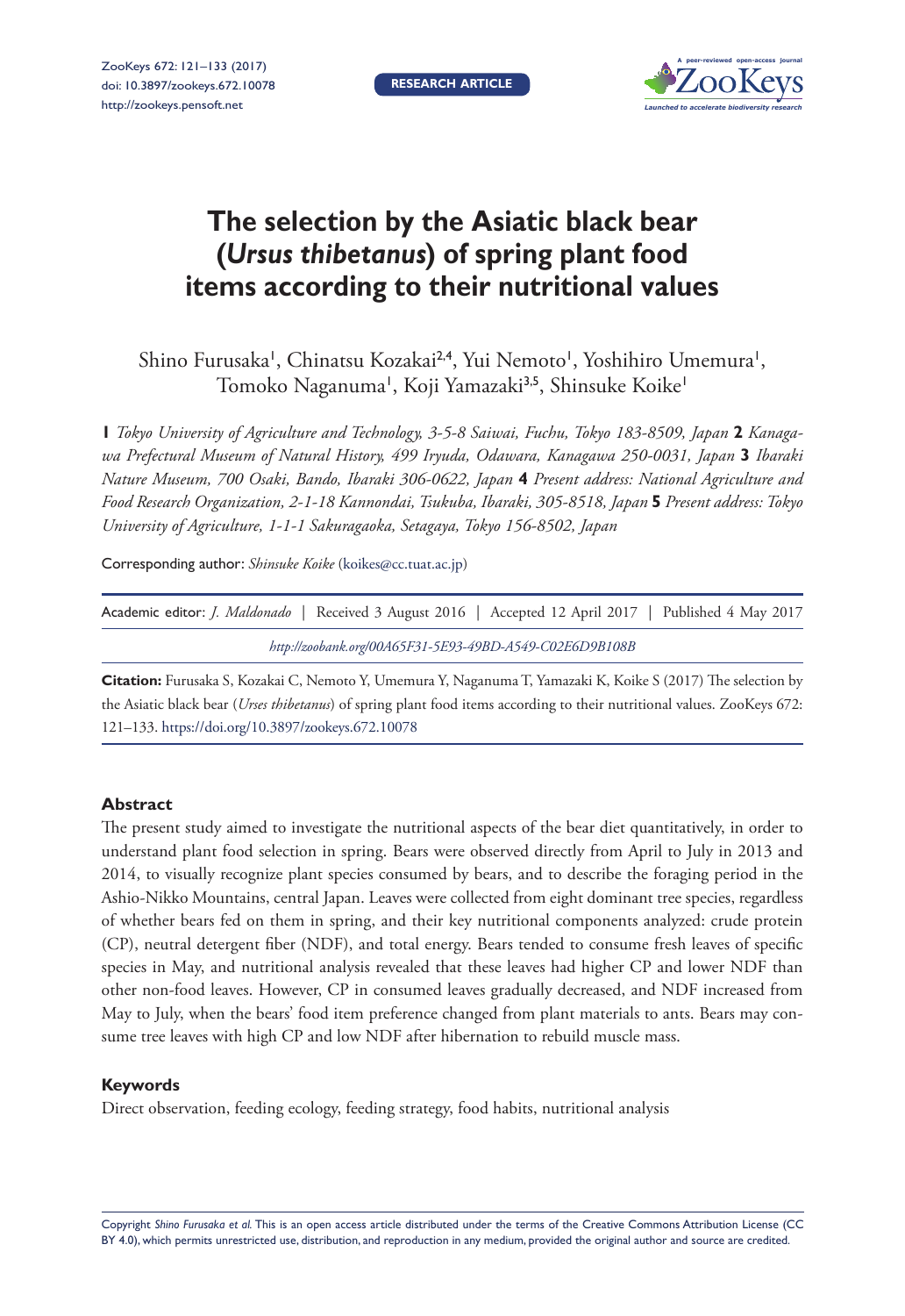

# **The selection by the Asiatic black bear (***Ursus thibetanus***) of spring plant food items according to their nutritional values**

Shino Furusaka<sup>1</sup>, Chinatsu Kozakai<sup>2,4</sup>, Yui Nemoto<sup>1</sup>, Yoshihiro Umemura<sup>1</sup>, Tomoko Naganuma', Koji Yamazaki<sup>3,5</sup>, Shinsuke Koike'

**1** *Tokyo University of Agriculture and Technology, 3-5-8 Saiwai, Fuchu, Tokyo 183-8509, Japan* **2** *Kanagawa Prefectural Museum of Natural History, 499 Iryuda, Odawara, Kanagawa 250-0031, Japan* **3** *Ibaraki Nature Museum, 700 Osaki, Bando, Ibaraki 306-0622, Japan* **4** *Present address: National Agriculture and Food Research Organization, 2-1-18 Kannondai, Tsukuba, Ibaraki, 305-8518, Japan* **5** *Present address: Tokyo University of Agriculture, 1-1-1 Sakuragaoka, Setagaya, Tokyo 156-8502, Japan*

Corresponding author: *Shinsuke Koike* [\(koikes@cc.tuat.ac.jp](mailto:koikes@cc.tuat.ac.jp))

| Academic editor: <i>J. Maldonado</i>   Received 3 August 2016   Accepted 12 April 2017   Published 4 May 2017 |  |
|---------------------------------------------------------------------------------------------------------------|--|
| http://zoobank.org/00A65F31-5E93-49BD-A549-C02E6D9B108B                                                       |  |

**Citation:** Furusaka S, Kozakai C, Nemoto Y, Umemura Y, Naganuma T, Yamazaki K, Koike S (2017) The selection by the Asiatic black bear (*Urses thibetanus*) of spring plant food items according to their nutritional values. ZooKeys 672: 121–133. <https://doi.org/10.3897/zookeys.672.10078>

#### **Abstract**

The present study aimed to investigate the nutritional aspects of the bear diet quantitatively, in order to understand plant food selection in spring. Bears were observed directly from April to July in 2013 and 2014, to visually recognize plant species consumed by bears, and to describe the foraging period in the Ashio-Nikko Mountains, central Japan. Leaves were collected from eight dominant tree species, regardless of whether bears fed on them in spring, and their key nutritional components analyzed: crude protein (CP), neutral detergent fiber (NDF), and total energy. Bears tended to consume fresh leaves of specific species in May, and nutritional analysis revealed that these leaves had higher CP and lower NDF than other non-food leaves. However, CP in consumed leaves gradually decreased, and NDF increased from May to July, when the bears' food item preference changed from plant materials to ants. Bears may consume tree leaves with high CP and low NDF after hibernation to rebuild muscle mass.

#### **Keywords**

Direct observation, feeding ecology, feeding strategy, food habits, nutritional analysis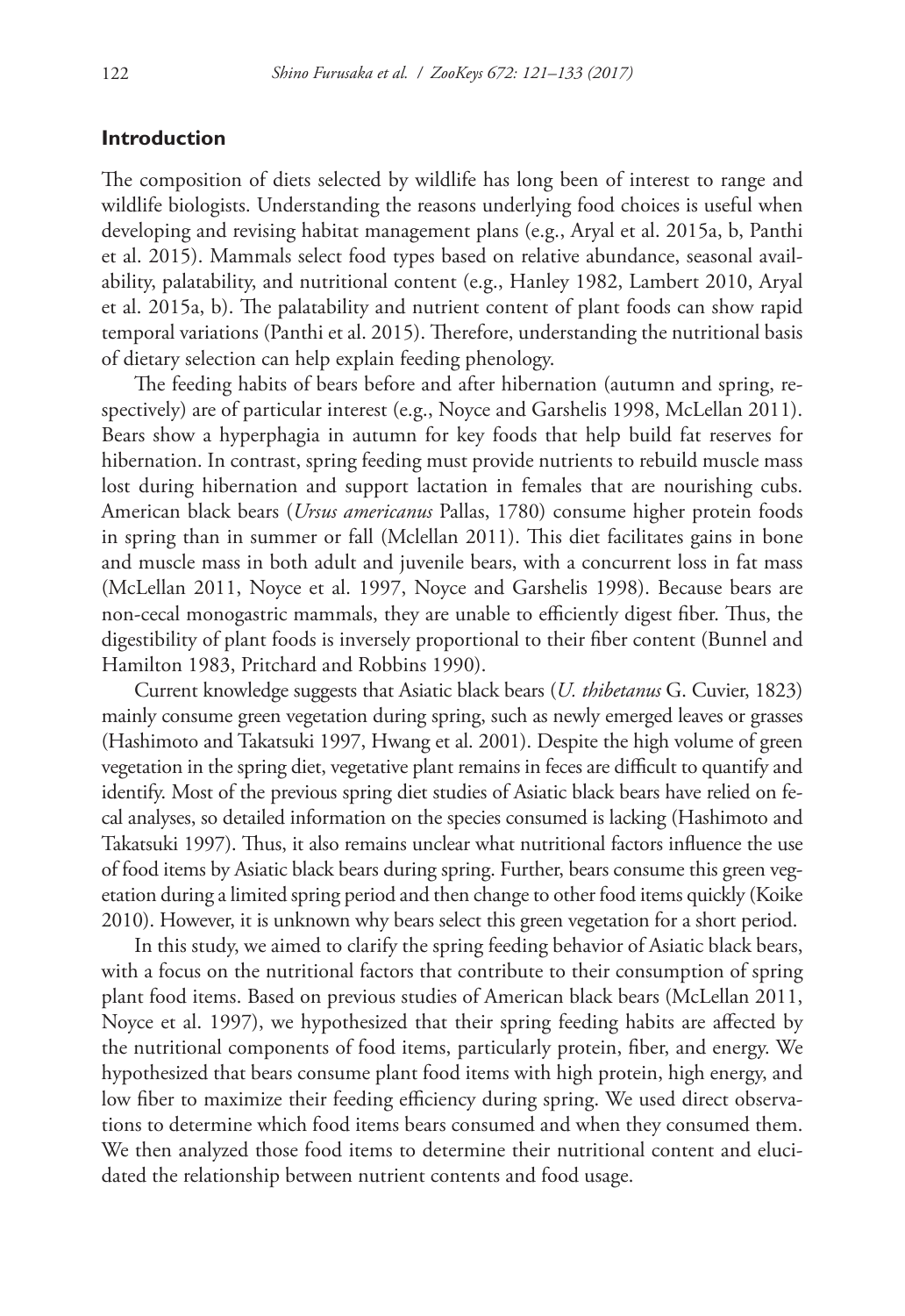## **Introduction**

The composition of diets selected by wildlife has long been of interest to range and wildlife biologists. Understanding the reasons underlying food choices is useful when developing and revising habitat management plans (e.g., Aryal et al. 2015a, b, Panthi et al. 2015). Mammals select food types based on relative abundance, seasonal availability, palatability, and nutritional content (e.g., Hanley 1982, Lambert 2010, Aryal et al. 2015a, b). The palatability and nutrient content of plant foods can show rapid temporal variations (Panthi et al. 2015). Therefore, understanding the nutritional basis of dietary selection can help explain feeding phenology.

The feeding habits of bears before and after hibernation (autumn and spring, respectively) are of particular interest (e.g., Noyce and Garshelis 1998, McLellan 2011). Bears show a hyperphagia in autumn for key foods that help build fat reserves for hibernation. In contrast, spring feeding must provide nutrients to rebuild muscle mass lost during hibernation and support lactation in females that are nourishing cubs. American black bears (*Ursus americanus* Pallas, 1780) consume higher protein foods in spring than in summer or fall (Mclellan 2011). This diet facilitates gains in bone and muscle mass in both adult and juvenile bears, with a concurrent loss in fat mass (McLellan 2011, Noyce et al. 1997, Noyce and Garshelis 1998). Because bears are non-cecal monogastric mammals, they are unable to efficiently digest fiber. Thus, the digestibility of plant foods is inversely proportional to their fiber content (Bunnel and Hamilton 1983, Pritchard and Robbins 1990).

Current knowledge suggests that Asiatic black bears (*U. thibetanus* G. Cuvier, 1823) mainly consume green vegetation during spring, such as newly emerged leaves or grasses (Hashimoto and Takatsuki 1997, Hwang et al. 2001). Despite the high volume of green vegetation in the spring diet, vegetative plant remains in feces are difficult to quantify and identify. Most of the previous spring diet studies of Asiatic black bears have relied on fecal analyses, so detailed information on the species consumed is lacking (Hashimoto and Takatsuki 1997). Thus, it also remains unclear what nutritional factors influence the use of food items by Asiatic black bears during spring. Further, bears consume this green vegetation during a limited spring period and then change to other food items quickly (Koike 2010). However, it is unknown why bears select this green vegetation for a short period.

In this study, we aimed to clarify the spring feeding behavior of Asiatic black bears, with a focus on the nutritional factors that contribute to their consumption of spring plant food items. Based on previous studies of American black bears (McLellan 2011, Noyce et al. 1997), we hypothesized that their spring feeding habits are affected by the nutritional components of food items, particularly protein, fiber, and energy. We hypothesized that bears consume plant food items with high protein, high energy, and low fiber to maximize their feeding efficiency during spring. We used direct observations to determine which food items bears consumed and when they consumed them. We then analyzed those food items to determine their nutritional content and elucidated the relationship between nutrient contents and food usage.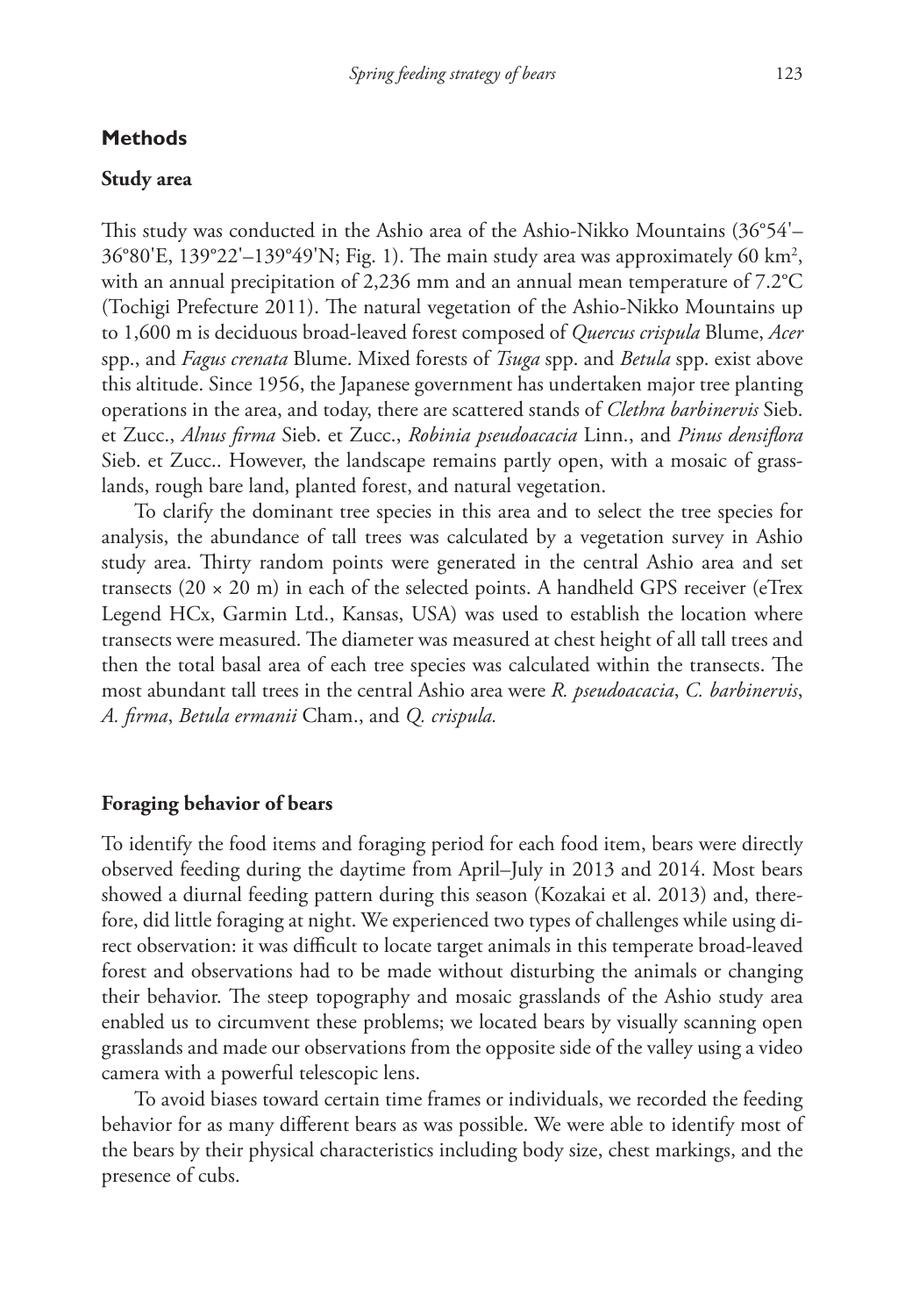## **Methods**

## **Study area**

This study was conducted in the Ashio area of the Ashio-Nikko Mountains (36°54'–  $36^{\circ}80^{\prime}$ E, 139°22'–139°49'N; Fig. 1). The main study area was approximately 60 km<sup>2</sup>, with an annual precipitation of 2,236 mm and an annual mean temperature of 7.2°C (Tochigi Prefecture 2011). The natural vegetation of the Ashio-Nikko Mountains up to 1,600 m is deciduous broad-leaved forest composed of *Quercus crispula* Blume, *Acer*  spp., and *Fagus crenata* Blume. Mixed forests of *Tsuga* spp. and *Betula* spp. exist above this altitude. Since 1956, the Japanese government has undertaken major tree planting operations in the area, and today, there are scattered stands of *Clethra barbinervis* Sieb. et Zucc., *Alnus firma* Sieb. et Zucc., *Robinia pseudoacacia* Linn., and *Pinus densiflora*  Sieb. et Zucc.. However, the landscape remains partly open, with a mosaic of grasslands, rough bare land, planted forest, and natural vegetation.

To clarify the dominant tree species in this area and to select the tree species for analysis, the abundance of tall trees was calculated by a vegetation survey in Ashio study area. Thirty random points were generated in the central Ashio area and set transects ( $20 \times 20$  m) in each of the selected points. A handheld GPS receiver (eTrex Legend HCx, Garmin Ltd., Kansas, USA) was used to establish the location where transects were measured. The diameter was measured at chest height of all tall trees and then the total basal area of each tree species was calculated within the transects. The most abundant tall trees in the central Ashio area were *R. pseudoacacia*, *C. barbinervis*, *A. firma*, *Betula ermanii* Cham., and *Q. crispula.*

#### **Foraging behavior of bears**

To identify the food items and foraging period for each food item, bears were directly observed feeding during the daytime from April–July in 2013 and 2014. Most bears showed a diurnal feeding pattern during this season (Kozakai et al. 2013) and, therefore, did little foraging at night. We experienced two types of challenges while using direct observation: it was difficult to locate target animals in this temperate broad-leaved forest and observations had to be made without disturbing the animals or changing their behavior. The steep topography and mosaic grasslands of the Ashio study area enabled us to circumvent these problems; we located bears by visually scanning open grasslands and made our observations from the opposite side of the valley using a video camera with a powerful telescopic lens.

To avoid biases toward certain time frames or individuals, we recorded the feeding behavior for as many different bears as was possible. We were able to identify most of the bears by their physical characteristics including body size, chest markings, and the presence of cubs.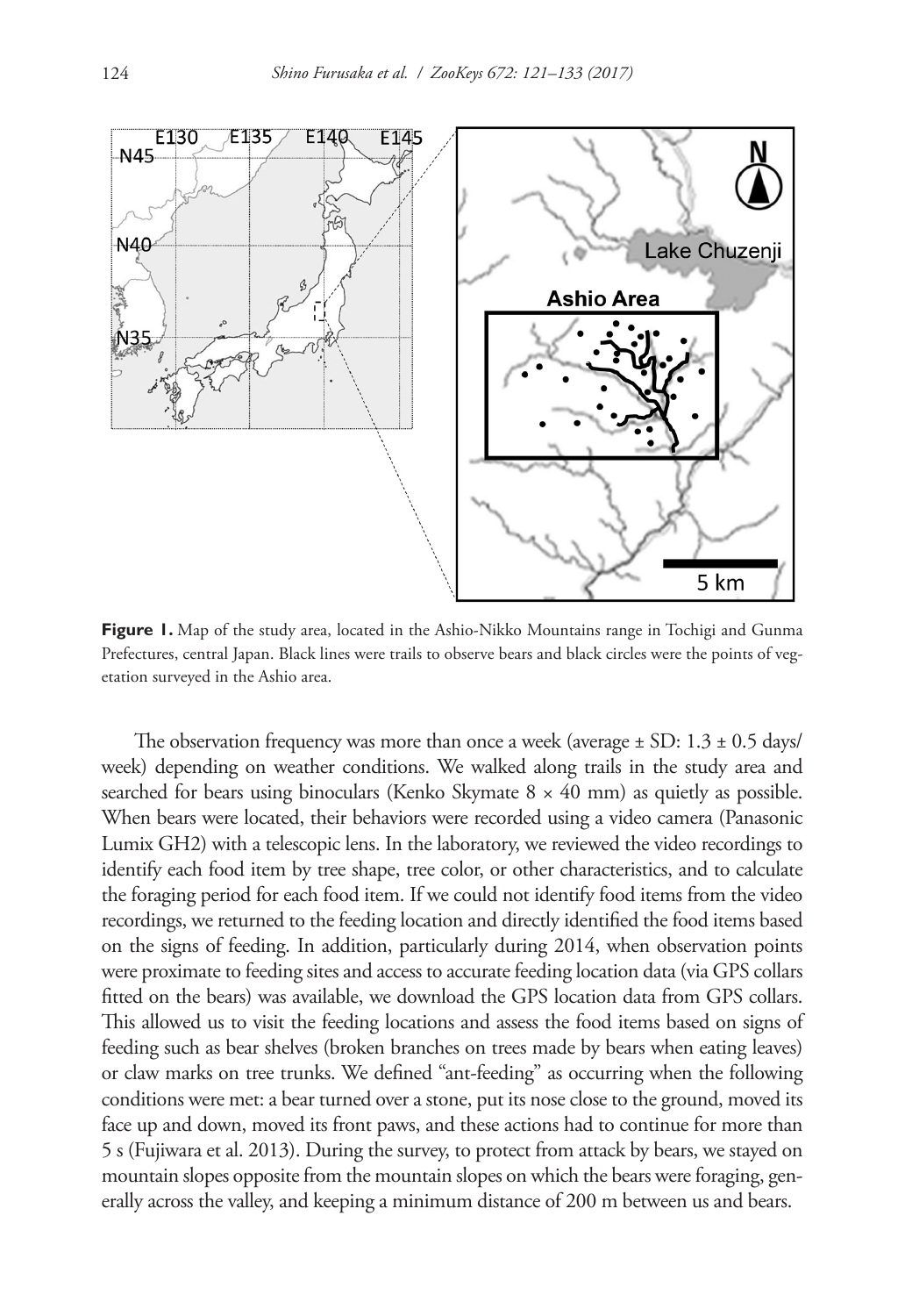

**Figure 1.** Map of the study area, located in the Ashio-Nikko Mountains range in Tochigi and Gunma Prefectures, central Japan. Black lines were trails to observe bears and black circles were the points of vegetation surveyed in the Ashio area.

The observation frequency was more than once a week (average  $\pm$  SD: 1.3  $\pm$  0.5 days/ week) depending on weather conditions. We walked along trails in the study area and searched for bears using binoculars (Kenko Skymate  $8 \times 40$  mm) as quietly as possible. When bears were located, their behaviors were recorded using a video camera (Panasonic Lumix GH2) with a telescopic lens. In the laboratory, we reviewed the video recordings to identify each food item by tree shape, tree color, or other characteristics, and to calculate the foraging period for each food item. If we could not identify food items from the video recordings, we returned to the feeding location and directly identified the food items based on the signs of feeding. In addition, particularly during 2014, when observation points were proximate to feeding sites and access to accurate feeding location data (via GPS collars fitted on the bears) was available, we download the GPS location data from GPS collars. This allowed us to visit the feeding locations and assess the food items based on signs of feeding such as bear shelves (broken branches on trees made by bears when eating leaves) or claw marks on tree trunks. We defined "ant-feeding" as occurring when the following conditions were met: a bear turned over a stone, put its nose close to the ground, moved its face up and down, moved its front paws, and these actions had to continue for more than 5 s (Fujiwara et al. 2013). During the survey, to protect from attack by bears, we stayed on mountain slopes opposite from the mountain slopes on which the bears were foraging, generally across the valley, and keeping a minimum distance of 200 m between us and bears.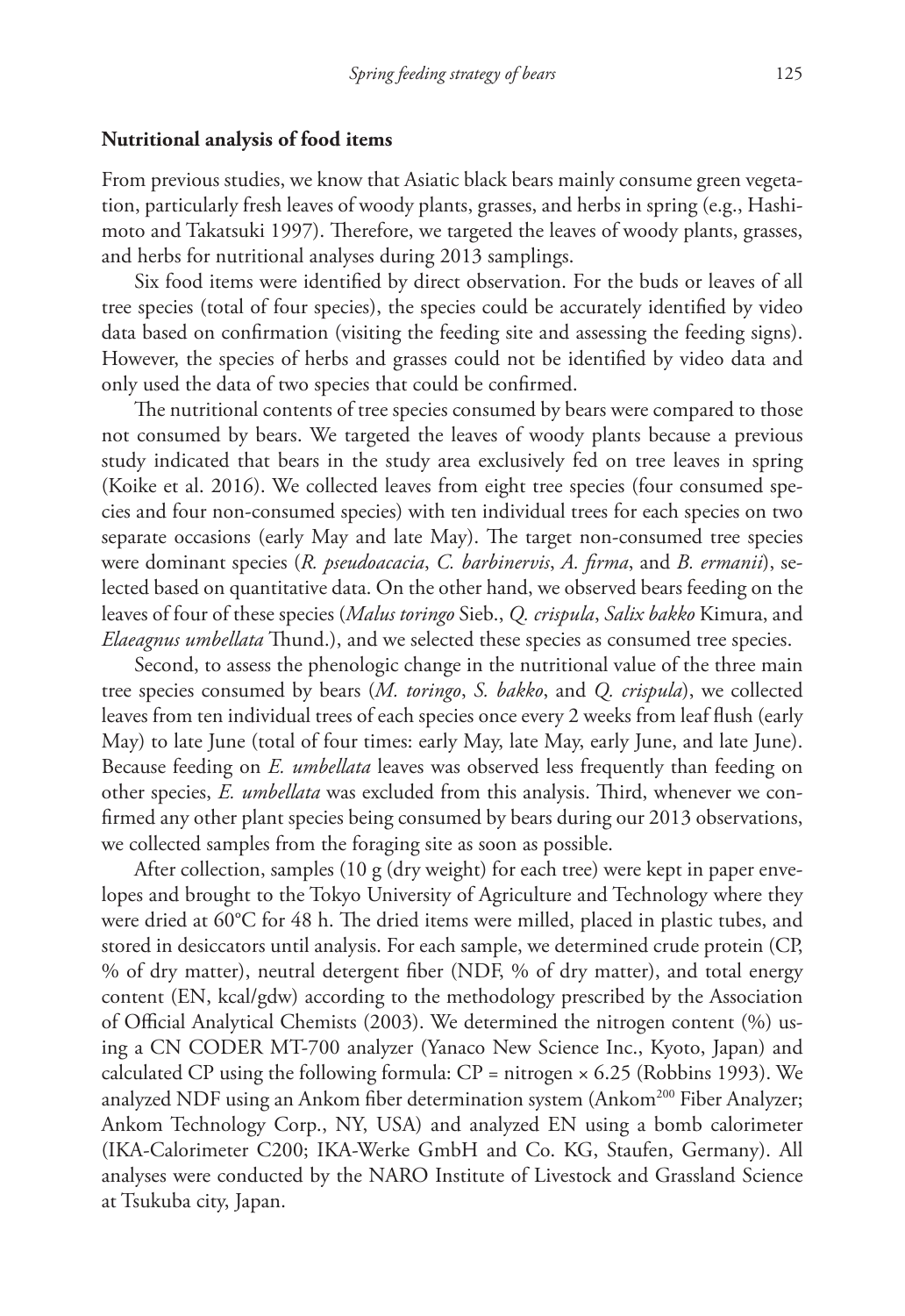#### **Nutritional analysis of food items**

From previous studies, we know that Asiatic black bears mainly consume green vegetation, particularly fresh leaves of woody plants, grasses, and herbs in spring (e.g., Hashimoto and Takatsuki 1997). Therefore, we targeted the leaves of woody plants, grasses, and herbs for nutritional analyses during 2013 samplings.

Six food items were identified by direct observation. For the buds or leaves of all tree species (total of four species), the species could be accurately identified by video data based on confirmation (visiting the feeding site and assessing the feeding signs). However, the species of herbs and grasses could not be identified by video data and only used the data of two species that could be confirmed.

The nutritional contents of tree species consumed by bears were compared to those not consumed by bears. We targeted the leaves of woody plants because a previous study indicated that bears in the study area exclusively fed on tree leaves in spring (Koike et al. 2016). We collected leaves from eight tree species (four consumed species and four non-consumed species) with ten individual trees for each species on two separate occasions (early May and late May). The target non-consumed tree species were dominant species (*R. pseudoacacia*, *C. barbinervis*, *A. firma*, and *B. ermanii*), selected based on quantitative data. On the other hand, we observed bears feeding on the leaves of four of these species (*Malus toringo* Sieb., *Q. crispula*, *Salix bakko* Kimura, and *Elaeagnus umbellata* Thund.), and we selected these species as consumed tree species.

Second, to assess the phenologic change in the nutritional value of the three main tree species consumed by bears (*M. toringo*, *S. bakko*, and *Q. crispula*), we collected leaves from ten individual trees of each species once every 2 weeks from leaf flush (early May) to late June (total of four times: early May, late May, early June, and late June). Because feeding on *E. umbellata* leaves was observed less frequently than feeding on other species, *E. umbellata* was excluded from this analysis. Third, whenever we confirmed any other plant species being consumed by bears during our 2013 observations, we collected samples from the foraging site as soon as possible.

After collection, samples (10 g (dry weight) for each tree) were kept in paper envelopes and brought to the Tokyo University of Agriculture and Technology where they were dried at 60°C for 48 h. The dried items were milled, placed in plastic tubes, and stored in desiccators until analysis. For each sample, we determined crude protein (CP, % of dry matter), neutral detergent fiber (NDF, % of dry matter), and total energy content (EN, kcal/gdw) according to the methodology prescribed by the Association of Official Analytical Chemists (2003). We determined the nitrogen content (%) using a CN CODER MT-700 analyzer (Yanaco New Science Inc., Kyoto, Japan) and calculated CP using the following formula:  $CP =$  nitrogen  $\times$  6.25 (Robbins 1993). We analyzed NDF using an Ankom fiber determination system (Ankom<sup>200</sup> Fiber Analyzer; Ankom Technology Corp., NY, USA) and analyzed EN using a bomb calorimeter (IKA-Calorimeter C200; IKA-Werke GmbH and Co. KG, Staufen, Germany). All analyses were conducted by the NARO Institute of Livestock and Grassland Science at Tsukuba city, Japan.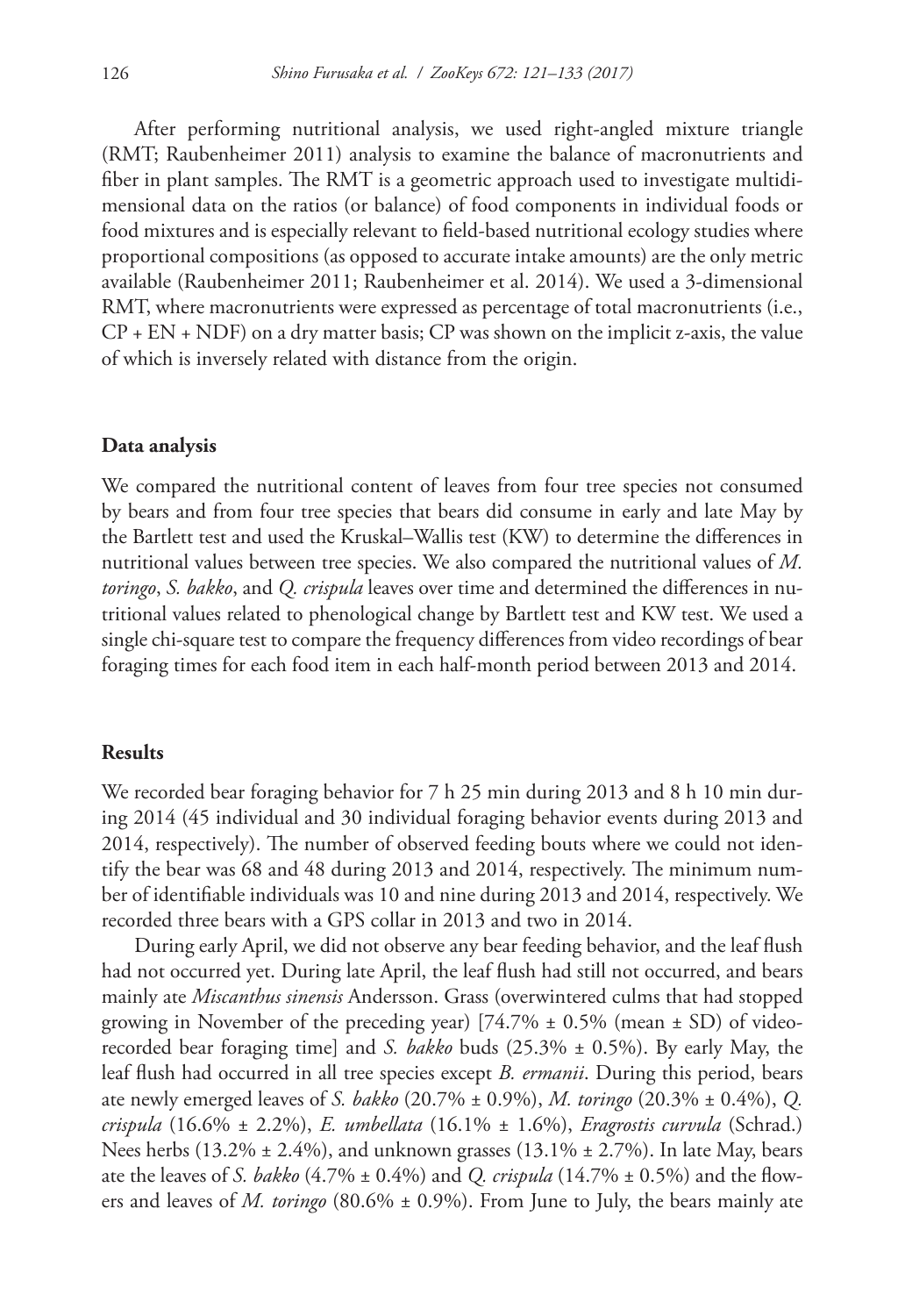After performing nutritional analysis, we used right-angled mixture triangle (RMT; Raubenheimer 2011) analysis to examine the balance of macronutrients and fiber in plant samples. The RMT is a geometric approach used to investigate multidimensional data on the ratios (or balance) of food components in individual foods or food mixtures and is especially relevant to field-based nutritional ecology studies where proportional compositions (as opposed to accurate intake amounts) are the only metric available (Raubenheimer 2011; Raubenheimer et al. 2014). We used a 3-dimensional RMT, where macronutrients were expressed as percentage of total macronutrients (i.e., CP + EN + NDF) on a dry matter basis; CP was shown on the implicit z-axis, the value of which is inversely related with distance from the origin.

#### **Data analysis**

We compared the nutritional content of leaves from four tree species not consumed by bears and from four tree species that bears did consume in early and late May by the Bartlett test and used the Kruskal–Wallis test (KW) to determine the differences in nutritional values between tree species. We also compared the nutritional values of *M. toringo*, *S. bakko*, and *Q. crispula* leaves over time and determined the differences in nutritional values related to phenological change by Bartlett test and KW test. We used a single chi-square test to compare the frequency differences from video recordings of bear foraging times for each food item in each half-month period between 2013 and 2014.

#### **Results**

We recorded bear foraging behavior for 7 h 25 min during 2013 and 8 h 10 min during 2014 (45 individual and 30 individual foraging behavior events during 2013 and 2014, respectively). The number of observed feeding bouts where we could not identify the bear was 68 and 48 during 2013 and 2014, respectively. The minimum number of identifiable individuals was 10 and nine during 2013 and 2014, respectively. We recorded three bears with a GPS collar in 2013 and two in 2014.

During early April, we did not observe any bear feeding behavior, and the leaf flush had not occurred yet. During late April, the leaf flush had still not occurred, and bears mainly ate *Miscanthus sinensis* Andersson. Grass (overwintered culms that had stopped growing in November of the preceding year)  $[74.7\% \pm 0.5\%$  (mean  $\pm$  SD) of videorecorded bear foraging time] and *S. bakko* buds (25.3% ± 0.5%). By early May, the leaf flush had occurred in all tree species except *B. ermanii*. During this period, bears ate newly emerged leaves of *S. bakko* (20.7% ± 0.9%), *M. toringo* (20.3% ± 0.4%), *Q. crispula* (16.6% ± 2.2%), *E. umbellata* (16.1% ± 1.6%), *Eragrostis curvula* (Schrad.) Nees herbs (13.2%  $\pm$  2.4%), and unknown grasses (13.1%  $\pm$  2.7%). In late May, bears ate the leaves of *S. bakko*  $(4.7\% \pm 0.4\%)$  and *Q. crispula*  $(14.7\% \pm 0.5\%)$  and the flowers and leaves of *M. toringo* (80.6% ± 0.9%). From June to July, the bears mainly ate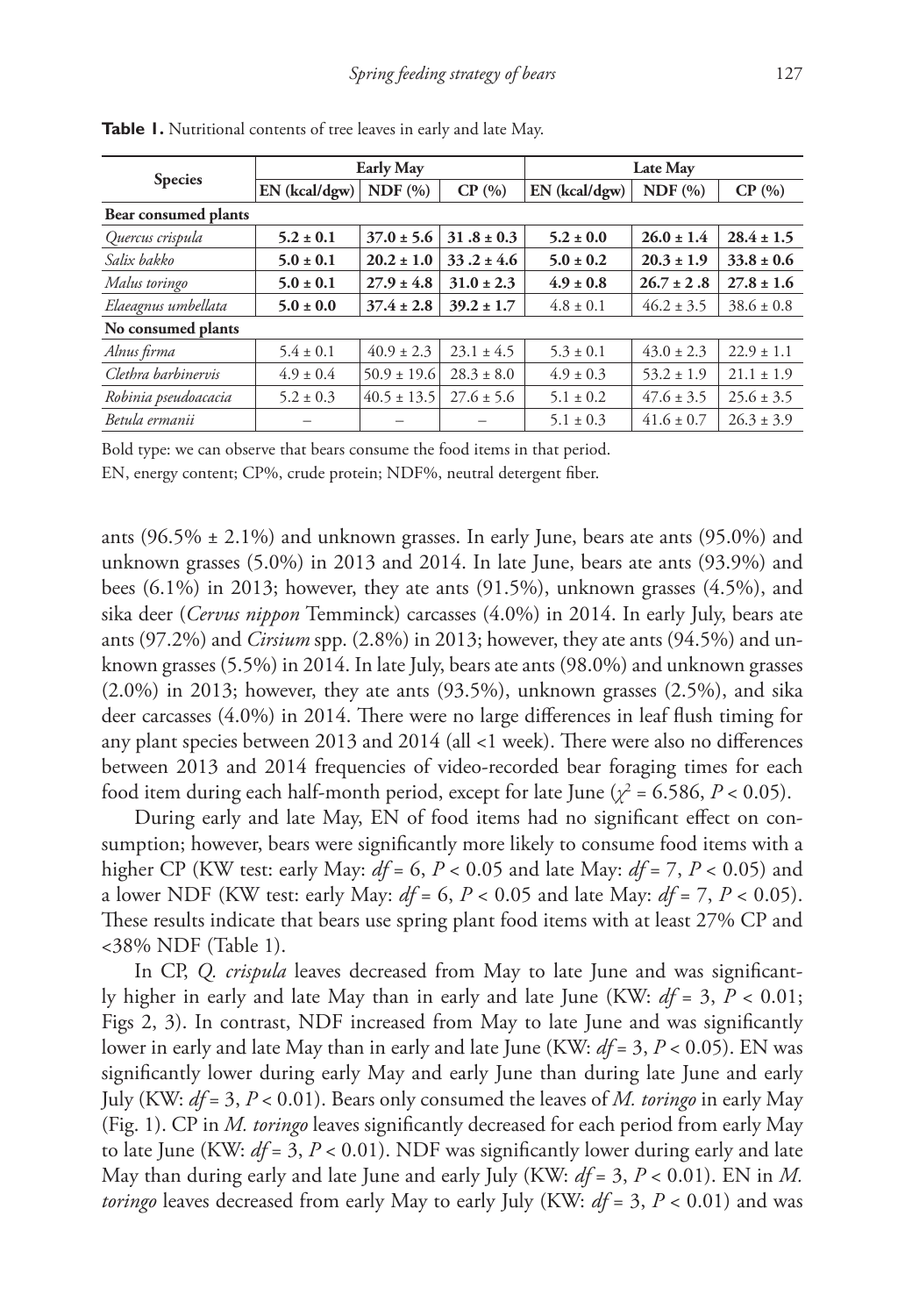| <b>Species</b>       | <b>Early May</b> |                 |                | Late May      |                |                |  |
|----------------------|------------------|-----------------|----------------|---------------|----------------|----------------|--|
|                      | EN (kcal/dgw)    | NDF(%)          | CP(%)          | EN (kcal/dgw) | NDF(%)         | CP(%)          |  |
| Bear consumed plants |                  |                 |                |               |                |                |  |
| Quercus crispula     | $5.2 \pm 0.1$    | $37.0 \pm 5.6$  | $31.8 \pm 0.3$ | $5.2 \pm 0.0$ | $26.0 \pm 1.4$ | $28.4 \pm 1.5$ |  |
| Salix bakko          | $5.0 \pm 0.1$    | $20.2 \pm 1.0$  | $33.2 \pm 4.6$ | $5.0 \pm 0.2$ | $20.3 \pm 1.9$ | $33.8 \pm 0.6$ |  |
| Malus toringo        | $5.0 \pm 0.1$    | $27.9 \pm 4.8$  | $31.0 \pm 2.3$ | $4.9 \pm 0.8$ | $26.7 \pm 2.8$ | $27.8 \pm 1.6$ |  |
| Elaeagnus umbellata  | $5.0 \pm 0.0$    | $37.4 \pm 2.8$  | $39.2 \pm 1.7$ | $4.8 \pm 0.1$ | $46.2 \pm 3.5$ | $38.6 \pm 0.8$ |  |
| No consumed plants   |                  |                 |                |               |                |                |  |
| Alnus firma          | $5.4 \pm 0.1$    | $40.9 \pm 2.3$  | $23.1 \pm 4.5$ | $5.3 \pm 0.1$ | $43.0 \pm 2.3$ | $22.9 \pm 1.1$ |  |
| Clethra barbinervis  | $4.9 \pm 0.4$    | $50.9 \pm 19.6$ | $28.3 \pm 8.0$ | $4.9 \pm 0.3$ | $53.2 \pm 1.9$ | $21.1 \pm 1.9$ |  |
| Robinia pseudoacacia | $5.2 \pm 0.3$    | $40.5 \pm 13.5$ | $27.6 \pm 5.6$ | $5.1 \pm 0.2$ | $47.6 \pm 3.5$ | $25.6 \pm 3.5$ |  |
| Betula ermanii       |                  |                 |                | $5.1 \pm 0.3$ | $41.6 \pm 0.7$ | $26.3 \pm 3.9$ |  |

**Table 1.** Nutritional contents of tree leaves in early and late May.

Bold type: we can observe that bears consume the food items in that period.

EN, energy content; CP%, crude protein; NDF%, neutral detergent fiber.

ants  $(96.5\% \pm 2.1\%)$  and unknown grasses. In early June, bears ate ants  $(95.0\%)$  and unknown grasses (5.0%) in 2013 and 2014. In late June, bears ate ants (93.9%) and bees  $(6.1\%)$  in 2013; however, they ate ants  $(91.5\%)$ , unknown grasses  $(4.5\%)$ , and sika deer (*Cervus nippon* Temminck) carcasses (4.0%) in 2014. In early July, bears ate ants (97.2%) and *Cirsium* spp. (2.8%) in 2013; however, they ate ants (94.5%) and unknown grasses (5.5%) in 2014. In late July, bears ate ants (98.0%) and unknown grasses  $(2.0\%)$  in 2013; however, they ate ants  $(93.5\%)$ , unknown grasses  $(2.5\%)$ , and sika deer carcasses (4.0%) in 2014. There were no large differences in leaf flush timing for any plant species between 2013 and 2014 (all <1 week). There were also no differences between 2013 and 2014 frequencies of video-recorded bear foraging times for each food item during each half-month period, except for late June ( $\chi^2$  = 6.586, *P* < 0.05).

During early and late May, EN of food items had no significant effect on consumption; however, bears were significantly more likely to consume food items with a higher CP (KW test: early May:  $df = 6$ ,  $P < 0.05$  and late May:  $df = 7$ ,  $P < 0.05$ ) and a lower NDF (KW test: early May:  $df = 6$ ,  $P < 0.05$  and late May:  $df = 7$ ,  $P < 0.05$ ). These results indicate that bears use spring plant food items with at least 27% CP and <38% NDF (Table 1).

In CP, *Q. crispula* leaves decreased from May to late June and was significantly higher in early and late May than in early and late June (KW:  $df = 3$ ,  $P < 0.01$ ; Figs 2, 3). In contrast, NDF increased from May to late June and was significantly lower in early and late May than in early and late June (KW: *df* = 3, *P* < 0.05). EN was significantly lower during early May and early June than during late June and early July (KW: *df* = 3, *P* < 0.01). Bears only consumed the leaves of *M. toringo* in early May (Fig. 1). CP in *M. toringo* leaves significantly decreased for each period from early May to late June (KW:  $df = 3$ ,  $P < 0.01$ ). NDF was significantly lower during early and late May than during early and late June and early July (KW:  $df = 3$ ,  $P < 0.01$ ). EN in *M*. *toringo* leaves decreased from early May to early July (KW: *df* = 3, *P* < 0.01) and was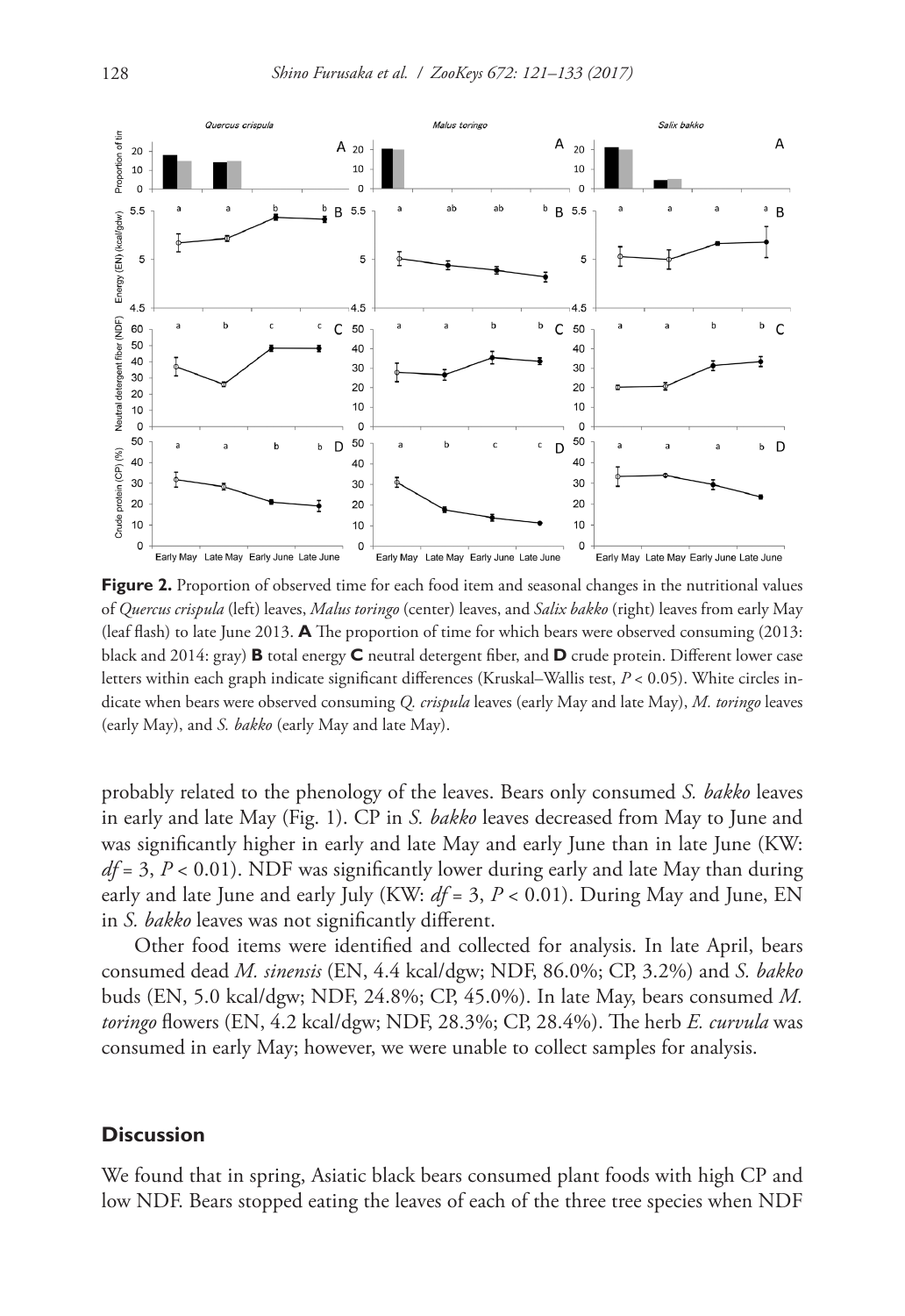

Figure 2. Proportion of observed time for each food item and seasonal changes in the nutritional values of *Quercus crispula* (left) leaves, *Malus toringo* (center) leaves, and *Salix bakko* (right) leaves from early May (leaf flash) to late June 2013. **A** The proportion of time for which bears were observed consuming (2013: black and 2014: gray) **B** total energy **C** neutral detergent fiber, and **D** crude protein. Different lower case letters within each graph indicate significant differences (Kruskal–Wallis test, *P* < 0.05). White circles indicate when bears were observed consuming *Q. crispula* leaves (early May and late May), *M. toringo* leaves (early May), and *S. bakko* (early May and late May).

probably related to the phenology of the leaves. Bears only consumed *S. bakko* leaves in early and late May (Fig. 1). CP in *S. bakko* leaves decreased from May to June and was significantly higher in early and late May and early June than in late June (KW:  $df = 3$ ,  $P < 0.01$ ). NDF was significantly lower during early and late May than during early and late June and early July (KW: *df* = 3, *P* < 0.01). During May and June, EN in *S. bakko* leaves was not significantly different.

Other food items were identified and collected for analysis. In late April, bears consumed dead *M. sinensis* (EN, 4.4 kcal/dgw; NDF, 86.0%; CP, 3.2%) and *S. bakko* buds (EN, 5.0 kcal/dgw; NDF, 24.8%; CP, 45.0%). In late May, bears consumed *M. toringo* flowers (EN, 4.2 kcal/dgw; NDF, 28.3%; CP, 28.4%). The herb *E. curvula* was consumed in early May; however, we were unable to collect samples for analysis.

# **Discussion**

We found that in spring, Asiatic black bears consumed plant foods with high CP and low NDF. Bears stopped eating the leaves of each of the three tree species when NDF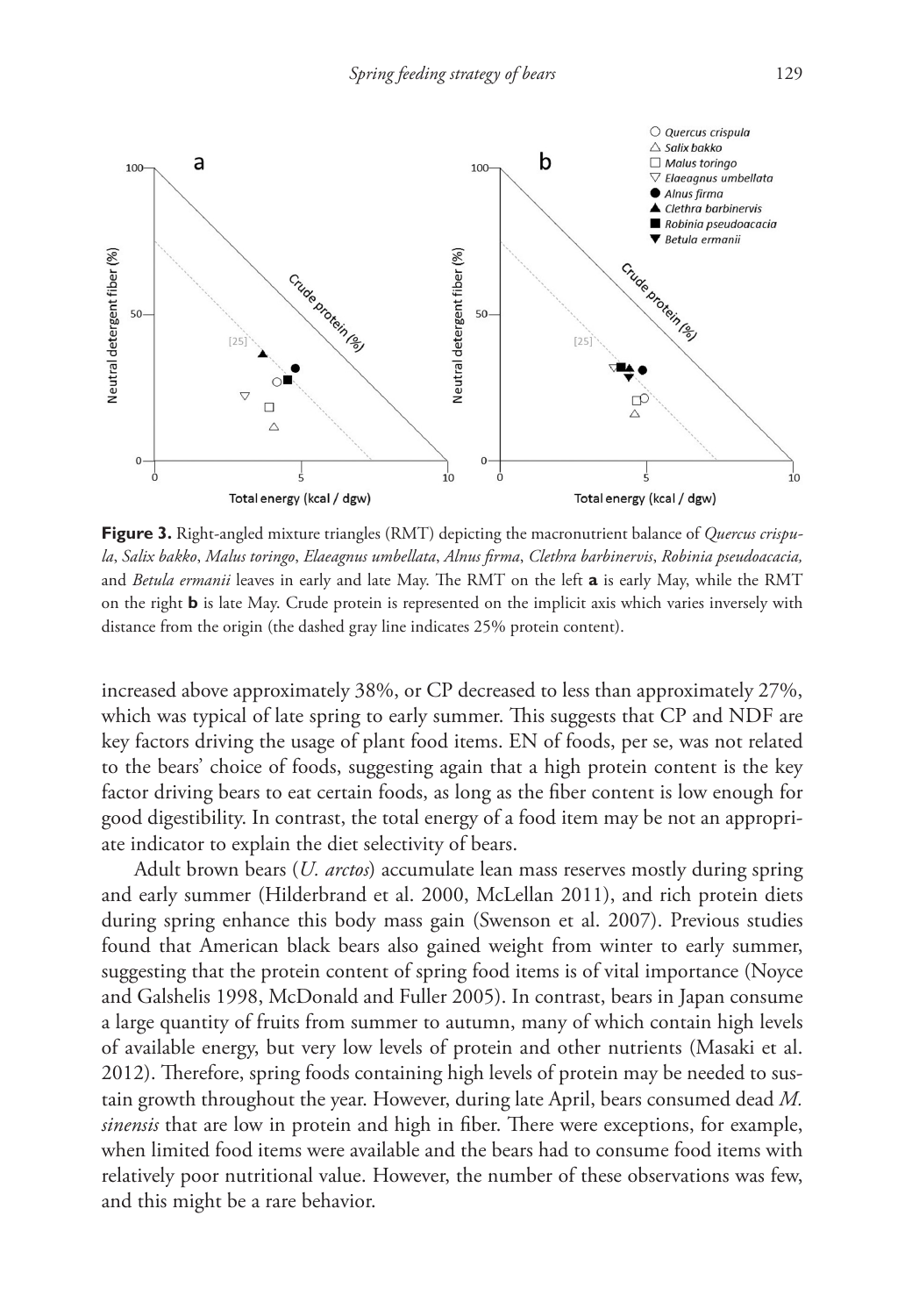

**Figure 3.** Right-angled mixture triangles (RMT) depicting the macronutrient balance of *Quercus crispula*, *Salix bakko*, *Malus toringo*, *Elaeagnus umbellata*, *Alnus firma*, *Clethra barbinervis*, *Robinia pseudoacacia,* and *Betula ermanii* leaves in early and late May. The RMT on the left **a** is early May, while the RMT on the right **b** is late May. Crude protein is represented on the implicit axis which varies inversely with distance from the origin (the dashed gray line indicates 25% protein content).

increased above approximately 38%, or CP decreased to less than approximately 27%, which was typical of late spring to early summer. This suggests that CP and NDF are key factors driving the usage of plant food items. EN of foods, per se, was not related to the bears' choice of foods, suggesting again that a high protein content is the key factor driving bears to eat certain foods, as long as the fiber content is low enough for good digestibility. In contrast, the total energy of a food item may be not an appropriate indicator to explain the diet selectivity of bears.

Adult brown bears (*U. arctos*) accumulate lean mass reserves mostly during spring and early summer (Hilderbrand et al. 2000, McLellan 2011), and rich protein diets during spring enhance this body mass gain (Swenson et al. 2007). Previous studies found that American black bears also gained weight from winter to early summer, suggesting that the protein content of spring food items is of vital importance (Noyce and Galshelis 1998, McDonald and Fuller 2005). In contrast, bears in Japan consume a large quantity of fruits from summer to autumn, many of which contain high levels of available energy, but very low levels of protein and other nutrients (Masaki et al. 2012). Therefore, spring foods containing high levels of protein may be needed to sustain growth throughout the year. However, during late April, bears consumed dead *M. sinensis* that are low in protein and high in fiber. There were exceptions, for example, when limited food items were available and the bears had to consume food items with relatively poor nutritional value. However, the number of these observations was few, and this might be a rare behavior.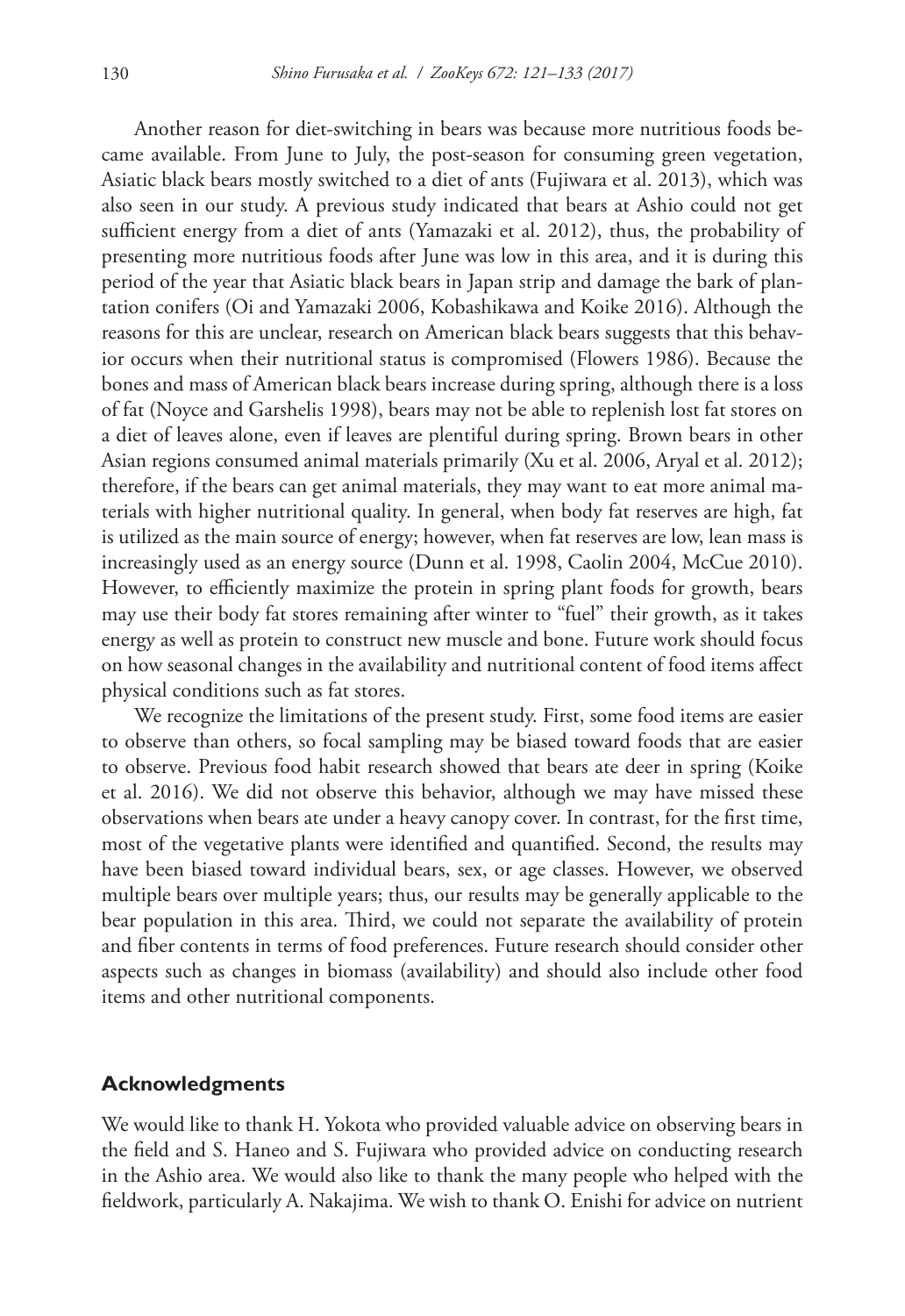Another reason for diet-switching in bears was because more nutritious foods became available. From June to July, the post-season for consuming green vegetation, Asiatic black bears mostly switched to a diet of ants (Fujiwara et al. 2013), which was also seen in our study. A previous study indicated that bears at Ashio could not get sufficient energy from a diet of ants (Yamazaki et al. 2012), thus, the probability of presenting more nutritious foods after June was low in this area, and it is during this period of the year that Asiatic black bears in Japan strip and damage the bark of plantation conifers (Oi and Yamazaki 2006, Kobashikawa and Koike 2016). Although the reasons for this are unclear, research on American black bears suggests that this behavior occurs when their nutritional status is compromised (Flowers 1986). Because the bones and mass of American black bears increase during spring, although there is a loss of fat (Noyce and Garshelis 1998), bears may not be able to replenish lost fat stores on a diet of leaves alone, even if leaves are plentiful during spring. Brown bears in other Asian regions consumed animal materials primarily (Xu et al. 2006, Aryal et al. 2012); therefore, if the bears can get animal materials, they may want to eat more animal materials with higher nutritional quality. In general, when body fat reserves are high, fat is utilized as the main source of energy; however, when fat reserves are low, lean mass is increasingly used as an energy source (Dunn et al. 1998, Caolin 2004, McCue 2010). However, to efficiently maximize the protein in spring plant foods for growth, bears may use their body fat stores remaining after winter to "fuel" their growth, as it takes energy as well as protein to construct new muscle and bone. Future work should focus on how seasonal changes in the availability and nutritional content of food items affect physical conditions such as fat stores.

We recognize the limitations of the present study. First, some food items are easier to observe than others, so focal sampling may be biased toward foods that are easier to observe. Previous food habit research showed that bears ate deer in spring (Koike et al. 2016). We did not observe this behavior, although we may have missed these observations when bears ate under a heavy canopy cover. In contrast, for the first time, most of the vegetative plants were identified and quantified. Second, the results may have been biased toward individual bears, sex, or age classes. However, we observed multiple bears over multiple years; thus, our results may be generally applicable to the bear population in this area. Third, we could not separate the availability of protein and fiber contents in terms of food preferences. Future research should consider other aspects such as changes in biomass (availability) and should also include other food items and other nutritional components.

## **Acknowledgments**

We would like to thank H. Yokota who provided valuable advice on observing bears in the field and S. Haneo and S. Fujiwara who provided advice on conducting research in the Ashio area. We would also like to thank the many people who helped with the fieldwork, particularly A. Nakajima. We wish to thank O. Enishi for advice on nutrient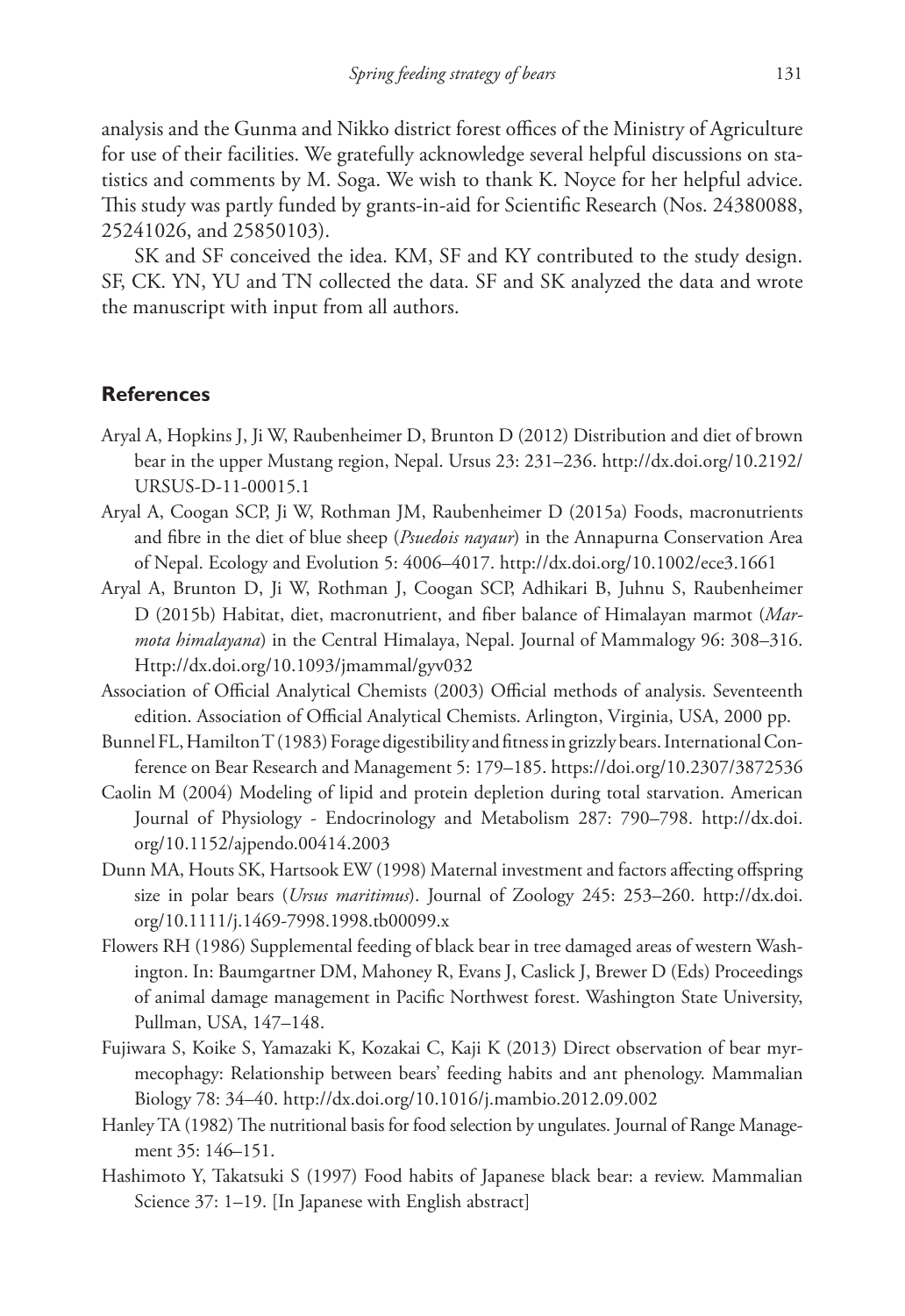analysis and the Gunma and Nikko district forest offices of the Ministry of Agriculture for use of their facilities. We gratefully acknowledge several helpful discussions on statistics and comments by M. Soga. We wish to thank K. Noyce for her helpful advice. This study was partly funded by grants-in-aid for Scientific Research (Nos. 24380088, 25241026, and 25850103).

SK and SF conceived the idea. KM, SF and KY contributed to the study design. SF, CK. YN, YU and TN collected the data. SF and SK analyzed the data and wrote the manuscript with input from all authors.

## **References**

- Aryal A, Hopkins J, Ji W, Raubenheimer D, Brunton D (2012) Distribution and diet of brown bear in the upper Mustang region, Nepal. Ursus 23: 231–236. [http://dx.doi.org/10.2192/](http://dx.doi.org/10.2192/URSUS-D-11-00015.1) [URSUS-D-11-00015.1](http://dx.doi.org/10.2192/URSUS-D-11-00015.1)
- Aryal A, Coogan SCP, Ji W, Rothman JM, Raubenheimer D (2015a) Foods, macronutrients and fibre in the diet of blue sheep (*Psuedois nayaur*) in the Annapurna Conservation Area of Nepal. Ecology and Evolution 5: 4006–4017.<http://dx.doi.org/10.1002/ece3.1661>
- Aryal A, Brunton D, Ji W, Rothman J, Coogan SCP, Adhikari B, Juhnu S, Raubenheimer D (2015b) Habitat, diet, macronutrient, and fiber balance of Himalayan marmot (*Marmota himalayana*) in the Central Himalaya, Nepal. Journal of Mammalogy 96: 308–316. <Http://dx.doi.org/10.1093/jmammal/gyv032>
- Association of Official Analytical Chemists (2003) Official methods of analysis. Seventeenth edition. Association of Official Analytical Chemists. Arlington, Virginia, USA, 2000 pp.
- Bunnel FL, Hamilton T (1983) Forage digestibility and fitness in grizzly bears. International Conference on Bear Research and Management 5: 179–185.<https://doi.org/10.2307/3872536>
- Caolin M (2004) Modeling of lipid and protein depletion during total starvation. American Journal of Physiology - Endocrinology and Metabolism 287: 790–798. [http://dx.doi.](http://dx.doi.org/10.1152/ajpendo.00414.2003) [org/10.1152/ajpendo.00414.2003](http://dx.doi.org/10.1152/ajpendo.00414.2003)
- Dunn MA, Houts SK, Hartsook EW (1998) Maternal investment and factors affecting offspring size in polar bears (*Ursus maritimus*). Journal of Zoology 245: 253–260. [http://dx.doi.](http://dx.doi.org/10.1111/j.1469-7998.1998.tb00099.x) [org/10.1111/j.1469-7998.1998.tb00099.x](http://dx.doi.org/10.1111/j.1469-7998.1998.tb00099.x)
- Flowers RH (1986) Supplemental feeding of black bear in tree damaged areas of western Washington. In: Baumgartner DM, Mahoney R, Evans J, Caslick J, Brewer D (Eds) Proceedings of animal damage management in Pacific Northwest forest. Washington State University, Pullman, USA, 147–148.
- Fujiwara S, Koike S, Yamazaki K, Kozakai C, Kaji K (2013) Direct observation of bear myrmecophagy: Relationship between bears' feeding habits and ant phenology. Mammalian Biology 78: 34–40.<http://dx.doi.org/10.1016/j.mambio.2012.09.002>
- Hanley TA (1982) The nutritional basis for food selection by ungulates. Journal of Range Management 35: 146–151.
- Hashimoto Y, Takatsuki S (1997) Food habits of Japanese black bear: a review. Mammalian Science 37: 1–19. [In Japanese with English abstract]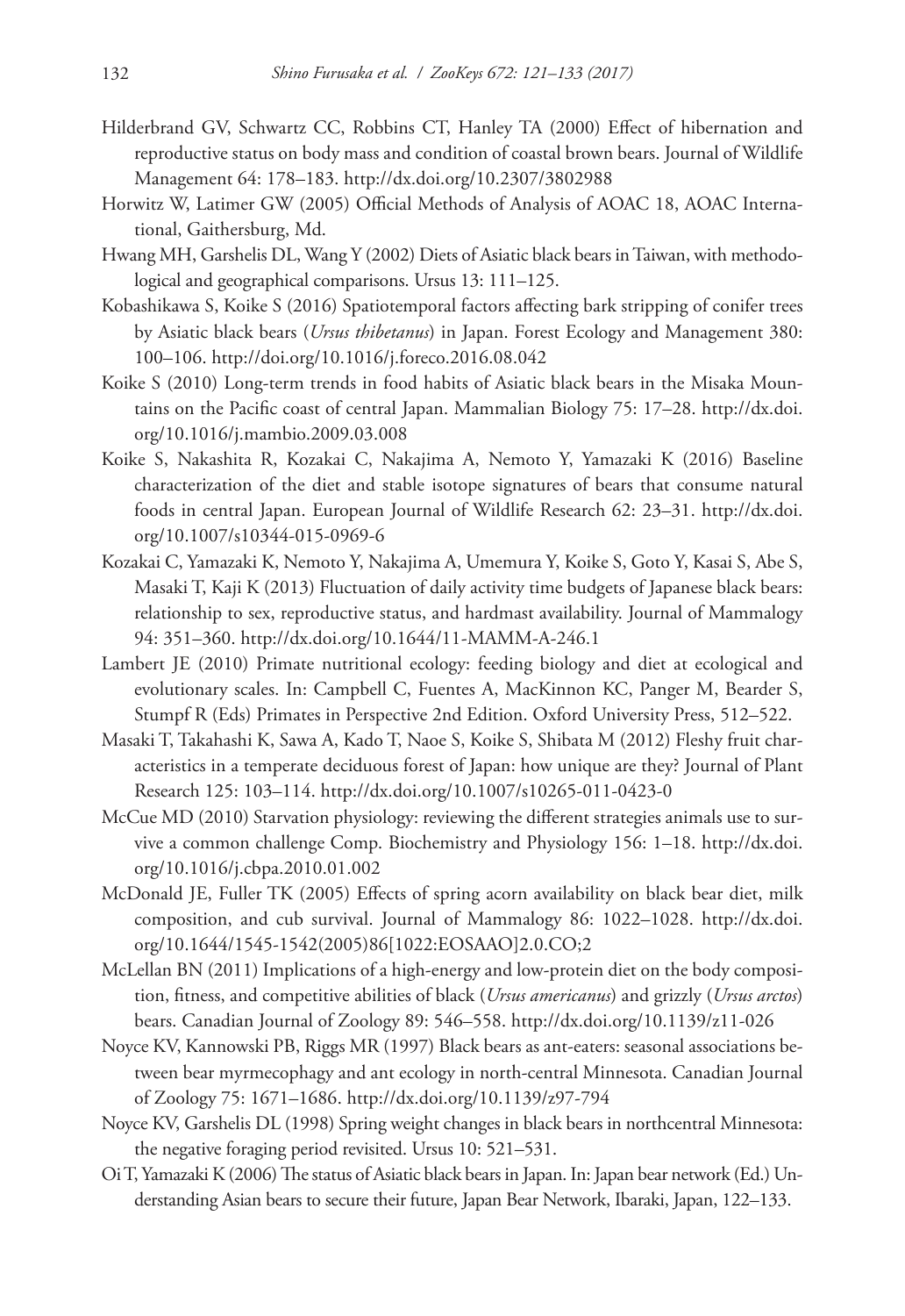- Hilderbrand GV, Schwartz CC, Robbins CT, Hanley TA (2000) Effect of hibernation and reproductive status on body mass and condition of coastal brown bears. Journal of Wildlife Management 64: 178–183. <http://dx.doi.org/10.2307/3802988>
- Horwitz W, Latimer GW (2005) Official Methods of Analysis of AOAC 18, AOAC International, Gaithersburg, Md.
- Hwang MH, Garshelis DL, Wang Y (2002) Diets of Asiatic black bears in Taiwan, with methodological and geographical comparisons. Ursus 13: 111–125.
- Kobashikawa S, Koike S (2016) Spatiotemporal factors affecting bark stripping of conifer trees by Asiatic black bears (*Ursus thibetanus*) in Japan. Forest Ecology and Management 380: 100–106.<http://doi.org/10.1016/j.foreco.2016.08.042>
- Koike S (2010) Long-term trends in food habits of Asiatic black bears in the Misaka Mountains on the Pacific coast of central Japan. Mammalian Biology 75: 17–28. [http://dx.doi.](http://dx.doi.org/10.1016/j.mambio.2009.03.008) [org/10.1016/j.mambio.2009.03.008](http://dx.doi.org/10.1016/j.mambio.2009.03.008)
- Koike S, Nakashita R, Kozakai C, Nakajima A, Nemoto Y, Yamazaki K (2016) Baseline characterization of the diet and stable isotope signatures of bears that consume natural foods in central Japan. European Journal of Wildlife Research 62: 23–31. [http://dx.doi.](http://dx.doi.org/10.1007/s10344-015-0969-6) [org/10.1007/s10344-015-0969-6](http://dx.doi.org/10.1007/s10344-015-0969-6)
- Kozakai C, Yamazaki K, Nemoto Y, Nakajima A, Umemura Y, Koike S, Goto Y, Kasai S, Abe S, Masaki T, Kaji K (2013) Fluctuation of daily activity time budgets of Japanese black bears: relationship to sex, reproductive status, and hardmast availability. Journal of Mammalogy 94: 351–360.<http://dx.doi.org/10.1644/11-MAMM-A-246.1>
- Lambert JE (2010) Primate nutritional ecology: feeding biology and diet at ecological and evolutionary scales. In: Campbell C, Fuentes A, MacKinnon KC, Panger M, Bearder S, Stumpf R (Eds) Primates in Perspective 2nd Edition. Oxford University Press, 512–522.
- Masaki T, Takahashi K, Sawa A, Kado T, Naoe S, Koike S, Shibata M (2012) Fleshy fruit characteristics in a temperate deciduous forest of Japan: how unique are they? Journal of Plant Research 125: 103–114. <http://dx.doi.org/10.1007/s10265-011-0423-0>
- McCue MD (2010) Starvation physiology: reviewing the different strategies animals use to survive a common challenge Comp. Biochemistry and Physiology 156: 1–18. [http://dx.doi.](http://dx.doi.org/10.1016/j.cbpa.2010.01.002) [org/10.1016/j.cbpa.2010.01.002](http://dx.doi.org/10.1016/j.cbpa.2010.01.002)
- McDonald JE, Fuller TK (2005) Effects of spring acorn availability on black bear diet, milk composition, and cub survival. Journal of Mammalogy 86: 1022–1028. [http://dx.doi.](http://dx.doi.org/10.1644/1545-1542(2005)86%5B1022:EOSAAO%5D2.0.CO;2) [org/10.1644/1545-1542\(2005\)86\[1022:EOSAAO\]2.0.CO;2](http://dx.doi.org/10.1644/1545-1542(2005)86%5B1022:EOSAAO%5D2.0.CO;2)
- McLellan BN (2011) Implications of a high-energy and low-protein diet on the body composition, fitness, and competitive abilities of black (*Ursus americanus*) and grizzly (*Ursus arctos*) bears. Canadian Journal of Zoology 89: 546–558.<http://dx.doi.org/10.1139/z11-026>
- Noyce KV, Kannowski PB, Riggs MR (1997) Black bears as ant-eaters: seasonal associations between bear myrmecophagy and ant ecology in north-central Minnesota. Canadian Journal of Zoology 75: 1671–1686.<http://dx.doi.org/10.1139/z97-794>
- Noyce KV, Garshelis DL (1998) Spring weight changes in black bears in northcentral Minnesota: the negative foraging period revisited. Ursus 10: 521–531.
- Oi T, Yamazaki K (2006) The status of Asiatic black bears in Japan. In: Japan bear network (Ed.) Understanding Asian bears to secure their future, Japan Bear Network, Ibaraki, Japan, 122–133.